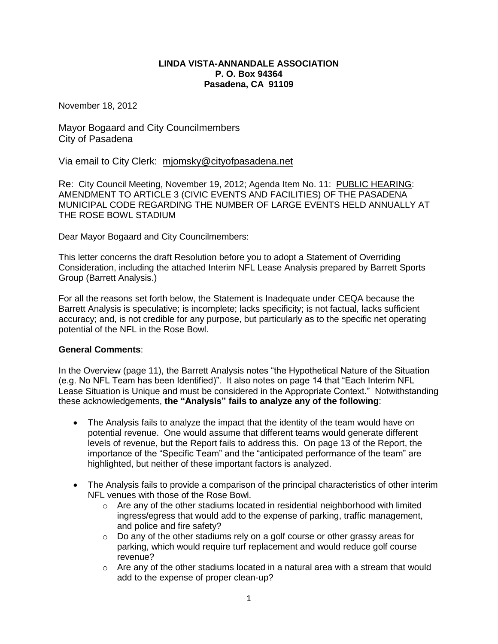# **LINDA VISTA-ANNANDALE ASSOCIATION P. O. Box 94364 Pasadena, CA 91109**

November 18, 2012

Mayor Bogaard and City Councilmembers City of Pasadena

Via email to City Clerk: mjomsky@cityofpasadena.net

Re: City Council Meeting, November 19, 2012; Agenda Item No. 11: PUBLIC HEARING: AMENDMENT TO ARTICLE 3 (CIVIC EVENTS AND FACILITIES) OF THE PASADENA MUNICIPAL CODE REGARDING THE NUMBER OF LARGE EVENTS HELD ANNUALLY AT THE ROSE BOWL STADIUM

Dear Mayor Bogaard and City Councilmembers:

This letter concerns the draft Resolution before you to adopt a Statement of Overriding Consideration, including the attached Interim NFL Lease Analysis prepared by Barrett Sports Group (Barrett Analysis.)

For all the reasons set forth below, the Statement is Inadequate under CEQA because the Barrett Analysis is speculative; is incomplete; lacks specificity; is not factual, lacks sufficient accuracy; and, is not credible for any purpose, but particularly as to the specific net operating potential of the NFL in the Rose Bowl.

# **General Comments**:

In the Overview (page 11), the Barrett Analysis notes "the Hypothetical Nature of the Situation (e.g. No NFL Team has been Identified)". It also notes on page 14 that "Each Interim NFL Lease Situation is Unique and must be considered in the Appropriate Context." Notwithstanding these acknowledgements, **the "Analysis" fails to analyze any of the following**:

- The Analysis fails to analyze the impact that the identity of the team would have on potential revenue. One would assume that different teams would generate different levels of revenue, but the Report fails to address this. On page 13 of the Report, the importance of the "Specific Team" and the "anticipated performance of the team" are highlighted, but neither of these important factors is analyzed.
- The Analysis fails to provide a comparison of the principal characteristics of other interim NFL venues with those of the Rose Bowl.
	- o Are any of the other stadiums located in residential neighborhood with limited ingress/egress that would add to the expense of parking, traffic management, and police and fire safety?
	- $\circ$  Do any of the other stadiums rely on a golf course or other grassy areas for parking, which would require turf replacement and would reduce golf course revenue?
	- $\circ$  Are any of the other stadiums located in a natural area with a stream that would add to the expense of proper clean-up?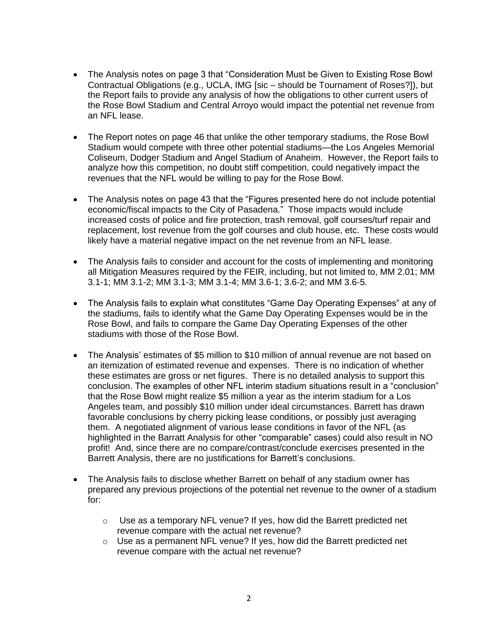- The Analysis notes on page 3 that "Consideration Must be Given to Existing Rose Bowl Contractual Obligations (e.g., UCLA, IMG [sic – should be Tournament of Roses?]), but the Report fails to provide any analysis of how the obligations to other current users of the Rose Bowl Stadium and Central Arroyo would impact the potential net revenue from an NFL lease.
- The Report notes on page 46 that unlike the other temporary stadiums, the Rose Bowl Stadium would compete with three other potential stadiums—the Los Angeles Memorial Coliseum, Dodger Stadium and Angel Stadium of Anaheim. However, the Report fails to analyze how this competition, no doubt stiff competition, could negatively impact the revenues that the NFL would be willing to pay for the Rose Bowl.
- The Analysis notes on page 43 that the "Figures presented here do not include potential economic/fiscal impacts to the City of Pasadena." Those impacts would include increased costs of police and fire protection, trash removal, golf courses/turf repair and replacement, lost revenue from the golf courses and club house, etc. These costs would likely have a material negative impact on the net revenue from an NFL lease.
- The Analysis fails to consider and account for the costs of implementing and monitoring all Mitigation Measures required by the FEIR, including, but not limited to, MM 2.01; MM 3.1-1; MM 3.1-2; MM 3.1-3; MM 3.1-4; MM 3.6-1; 3.6-2; and MM 3.6-5.
- The Analysis fails to explain what constitutes "Game Day Operating Expenses" at any of the stadiums, fails to identify what the Game Day Operating Expenses would be in the Rose Bowl, and fails to compare the Game Day Operating Expenses of the other stadiums with those of the Rose Bowl.
- The Analysis' estimates of \$5 million to \$10 million of annual revenue are not based on an itemization of estimated revenue and expenses. There is no indication of whether these estimates are gross or net figures. There is no detailed analysis to support this conclusion. The examples of other NFL interim stadium situations result in a "conclusion" that the Rose Bowl might realize \$5 million a year as the interim stadium for a Los Angeles team, and possibly \$10 million under ideal circumstances. Barrett has drawn favorable conclusions by cherry picking lease conditions, or possibly just averaging them. A negotiated alignment of various lease conditions in favor of the NFL (as highlighted in the Barratt Analysis for other "comparable" cases) could also result in NO profit! And, since there are no compare/contrast/conclude exercises presented in the Barrett Analysis, there are no justifications for Barrett's conclusions.
- The Analysis fails to disclose whether Barrett on behalf of any stadium owner has prepared any previous projections of the potential net revenue to the owner of a stadium for:
	- $\circ$  Use as a temporary NFL venue? If yes, how did the Barrett predicted net revenue compare with the actual net revenue?
	- o Use as a permanent NFL venue? If yes, how did the Barrett predicted net revenue compare with the actual net revenue?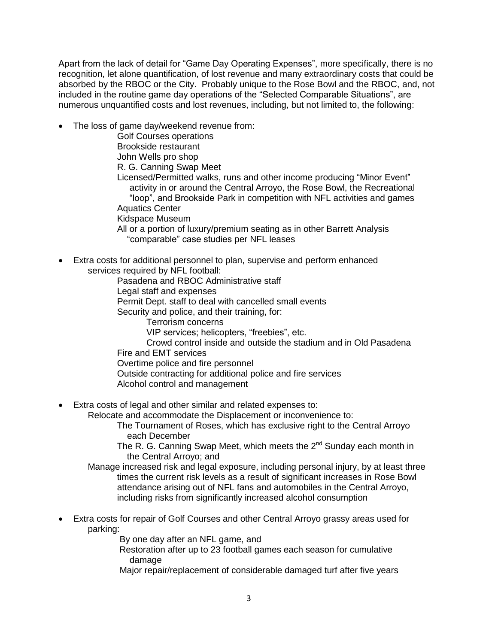Apart from the lack of detail for "Game Day Operating Expenses", more specifically, there is no recognition, let alone quantification, of lost revenue and many extraordinary costs that could be absorbed by the RBOC or the City. Probably unique to the Rose Bowl and the RBOC, and, not included in the routine game day operations of the "Selected Comparable Situations", are numerous unquantified costs and lost revenues, including, but not limited to, the following:

The loss of game day/weekend revenue from:

Golf Courses operations Brookside restaurant John Wells pro shop R. G. Canning Swap Meet Licensed/Permitted walks, runs and other income producing "Minor Event" activity in or around the Central Arroyo, the Rose Bowl, the Recreational "loop", and Brookside Park in competition with NFL activities and games Aquatics Center Kidspace Museum All or a portion of luxury/premium seating as in other Barrett Analysis "comparable" case studies per NFL leases

 Extra costs for additional personnel to plan, supervise and perform enhanced services required by NFL football:

Pasadena and RBOC Administrative staff Legal staff and expenses Permit Dept. staff to deal with cancelled small events Security and police, and their training, for: Terrorism concerns VIP services; helicopters, "freebies", etc. Crowd control inside and outside the stadium and in Old Pasadena Fire and EMT services Overtime police and fire personnel Outside contracting for additional police and fire services Alcohol control and management

Extra costs of legal and other similar and related expenses to:

Relocate and accommodate the Displacement or inconvenience to:

The Tournament of Roses, which has exclusive right to the Central Arroyo each December

The R. G. Canning Swap Meet, which meets the  $2^{nd}$  Sunday each month in the Central Arroyo; and

- Manage increased risk and legal exposure, including personal injury, by at least three times the current risk levels as a result of significant increases in Rose Bowl attendance arising out of NFL fans and automobiles in the Central Arroyo, including risks from significantly increased alcohol consumption
- Extra costs for repair of Golf Courses and other Central Arroyo grassy areas used for parking:

By one day after an NFL game, and

Restoration after up to 23 football games each season for cumulative damage

Major repair/replacement of considerable damaged turf after five years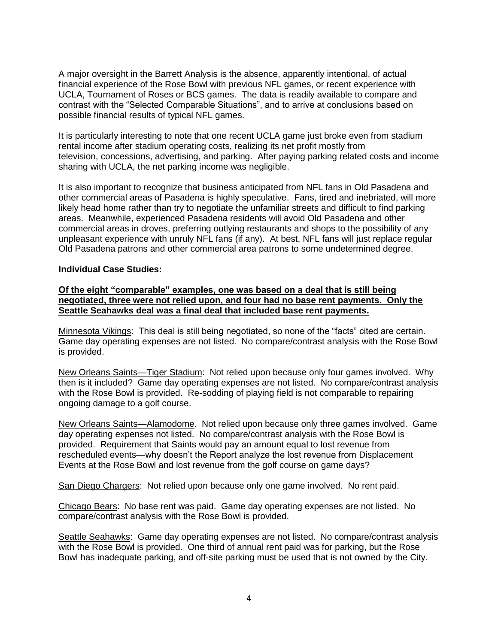A major oversight in the Barrett Analysis is the absence, apparently intentional, of actual financial experience of the Rose Bowl with previous NFL games, or recent experience with UCLA, Tournament of Roses or BCS games. The data is readily available to compare and contrast with the "Selected Comparable Situations", and to arrive at conclusions based on possible financial results of typical NFL games.

It is particularly interesting to note that one recent UCLA game just broke even from stadium rental income after stadium operating costs, realizing its net profit mostly from television, concessions, advertising, and parking. After paying parking related costs and income sharing with UCLA, the net parking income was negligible.

It is also important to recognize that business anticipated from NFL fans in Old Pasadena and other commercial areas of Pasadena is highly speculative. Fans, tired and inebriated, will more likely head home rather than try to negotiate the unfamiliar streets and difficult to find parking areas. Meanwhile, experienced Pasadena residents will avoid Old Pasadena and other commercial areas in droves, preferring outlying restaurants and shops to the possibility of any unpleasant experience with unruly NFL fans (if any). At best, NFL fans will just replace regular Old Pasadena patrons and other commercial area patrons to some undetermined degree.

### **Individual Case Studies:**

### **Of the eight "comparable" examples, one was based on a deal that is still being negotiated, three were not relied upon, and four had no base rent payments. Only the Seattle Seahawks deal was a final deal that included base rent payments.**

Minnesota Vikings: This deal is still being negotiated, so none of the "facts" cited are certain. Game day operating expenses are not listed. No compare/contrast analysis with the Rose Bowl is provided.

New Orleans Saints—Tiger Stadium: Not relied upon because only four games involved. Why then is it included? Game day operating expenses are not listed. No compare/contrast analysis with the Rose Bowl is provided. Re-sodding of playing field is not comparable to repairing ongoing damage to a golf course.

New Orleans Saints—Alamodome. Not relied upon because only three games involved. Game day operating expenses not listed. No compare/contrast analysis with the Rose Bowl is provided. Requirement that Saints would pay an amount equal to lost revenue from rescheduled events—why doesn't the Report analyze the lost revenue from Displacement Events at the Rose Bowl and lost revenue from the golf course on game days?

San Diego Chargers: Not relied upon because only one game involved. No rent paid.

Chicago Bears: No base rent was paid. Game day operating expenses are not listed. No compare/contrast analysis with the Rose Bowl is provided.

Seattle Seahawks: Game day operating expenses are not listed. No compare/contrast analysis with the Rose Bowl is provided. One third of annual rent paid was for parking, but the Rose Bowl has inadequate parking, and off-site parking must be used that is not owned by the City.